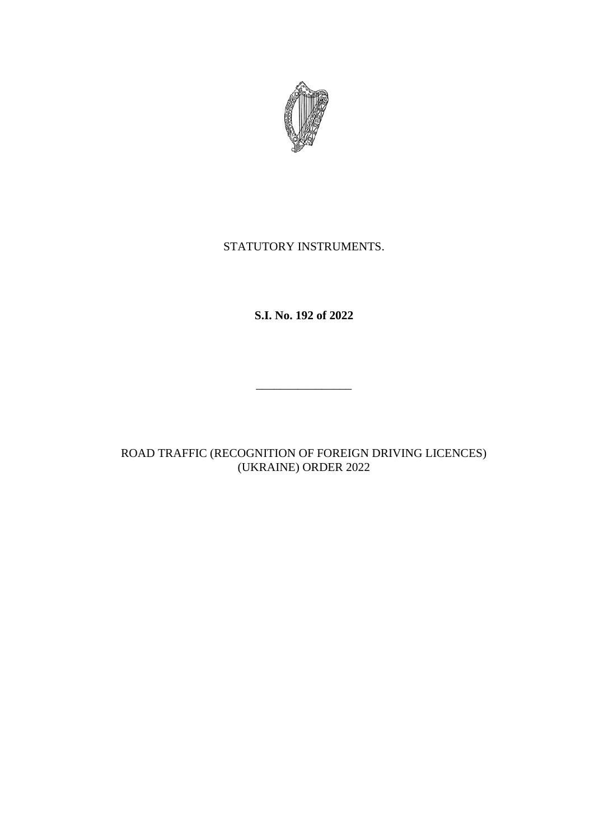

# STATUTORY INSTRUMENTS.

**S.I. No. 192 of 2022**

\_\_\_\_\_\_\_\_\_\_\_\_\_\_\_\_

ROAD TRAFFIC (RECOGNITION OF FOREIGN DRIVING LICENCES) (UKRAINE) ORDER 2022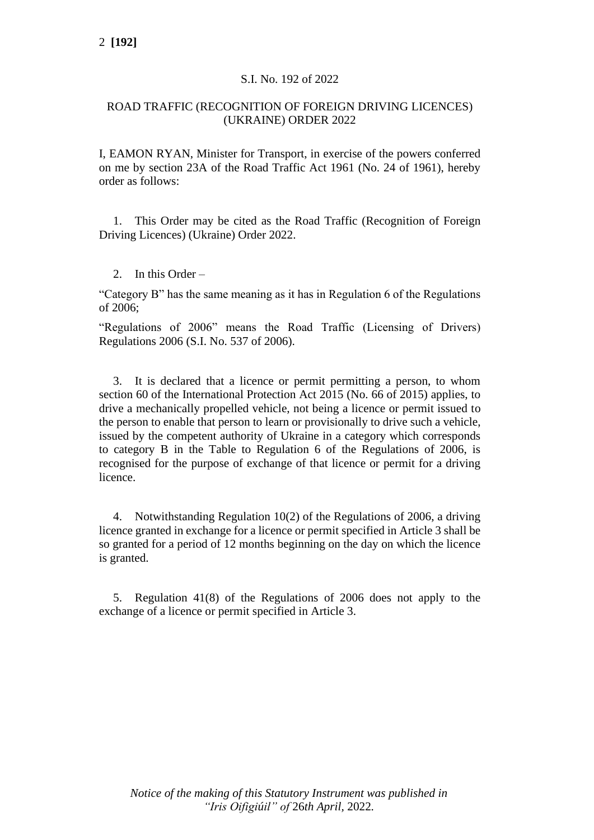### S.I. No. 192 of 2022

### ROAD TRAFFIC (RECOGNITION OF FOREIGN DRIVING LICENCES) (UKRAINE) ORDER 2022

I, EAMON RYAN, Minister for Transport, in exercise of the powers conferred on me by section 23A of the Road Traffic Act 1961 (No. 24 of 1961), hereby order as follows:

1. This Order may be cited as the Road Traffic (Recognition of Foreign Driving Licences) (Ukraine) Order 2022.

2. In this Order –

"Category B" has the same meaning as it has in Regulation 6 of the Regulations of 2006;

"Regulations of 2006" means the Road Traffic (Licensing of Drivers) Regulations 2006 (S.I. No. 537 of 2006).

3. It is declared that a licence or permit permitting a person, to whom section 60 of the International Protection Act 2015 (No. 66 of 2015) applies, to drive a mechanically propelled vehicle, not being a licence or permit issued to the person to enable that person to learn or provisionally to drive such a vehicle, issued by the competent authority of Ukraine in a category which corresponds to category B in the Table to Regulation 6 of the Regulations of 2006, is recognised for the purpose of exchange of that licence or permit for a driving licence.

4. Notwithstanding Regulation 10(2) of the Regulations of 2006, a driving licence granted in exchange for a licence or permit specified in Article 3 shall be so granted for a period of 12 months beginning on the day on which the licence is granted.

5. Regulation 41(8) of the Regulations of 2006 does not apply to the exchange of a licence or permit specified in Article 3.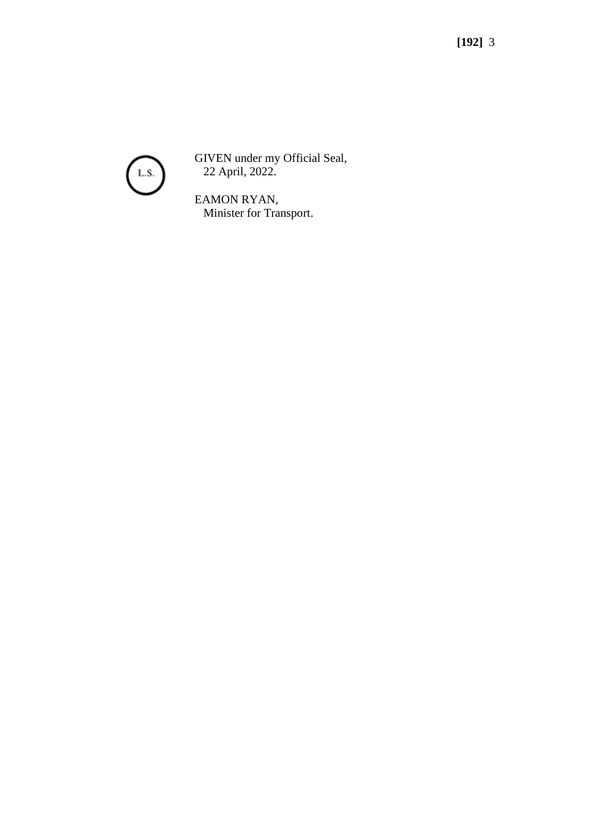

GIVEN under my Official Seal, 22 April, 2022.

EAMON RYAN, Minister for Transport.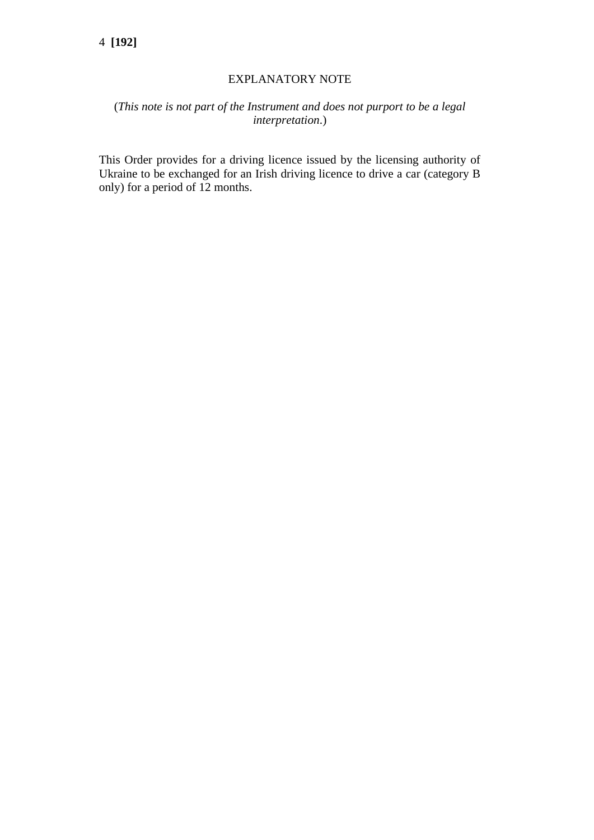### EXPLANATORY NOTE

## (*This note is not part of the Instrument and does not purport to be a legal interpretation*.)

This Order provides for a driving licence issued by the licensing authority of Ukraine to be exchanged for an Irish driving licence to drive a car (category B only) for a period of 12 months.